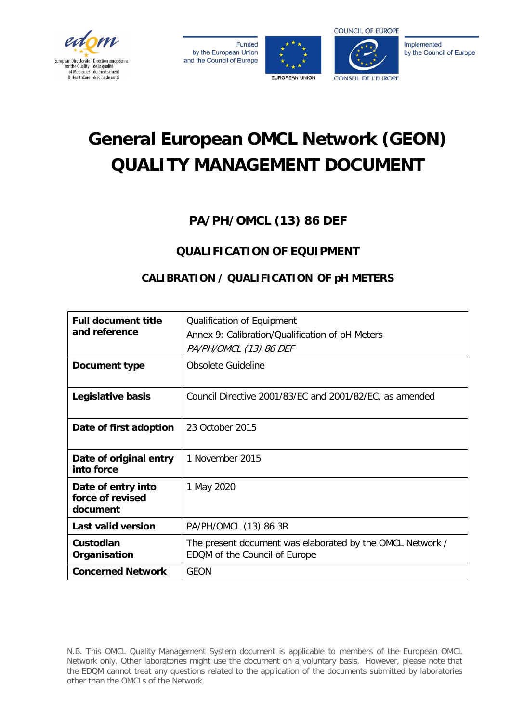

**Funded** by the European Union and the Council of Europe





Implemented by the Council of Europe

# **General European OMCL Network (GEON) QUALITY MANAGEMENT DOCUMENT**

## **PA/PH/OMCL (13) 86 DEF**

### **QUALIFICATION OF EQUIPMENT**

#### **CALIBRATION / QUALIFICATION OF pH METERS**

| <b>Full document title</b><br>and reference        | Qualification of Equipment<br>Annex 9: Calibration/Qualification of pH Meters<br>PA/PH/OMCL (13) 86 DEF |
|----------------------------------------------------|---------------------------------------------------------------------------------------------------------|
| Document type                                      | Obsolete Guideline                                                                                      |
| Legislative basis                                  | Council Directive 2001/83/EC and 2001/82/EC, as amended                                                 |
| Date of first adoption                             | 23 October 2015                                                                                         |
| Date of original entry<br>into force               | 1 November 2015                                                                                         |
| Date of entry into<br>force of revised<br>document | 1 May 2020                                                                                              |
| <b>Last valid version</b>                          | PA/PH/OMCL (13) 86 3R                                                                                   |
| Custodian<br>Organisation                          | The present document was elaborated by the OMCL Network /<br>EDQM of the Council of Europe              |
| <b>Concerned Network</b>                           | <b>GEON</b>                                                                                             |

N.B. This OMCL Quality Management System document is applicable to members of the European OMCL Network only. Other laboratories might use the document on a voluntary basis. However, please note that the EDQM cannot treat any questions related to the application of the documents submitted by laboratories other than the OMCLs of the Network.